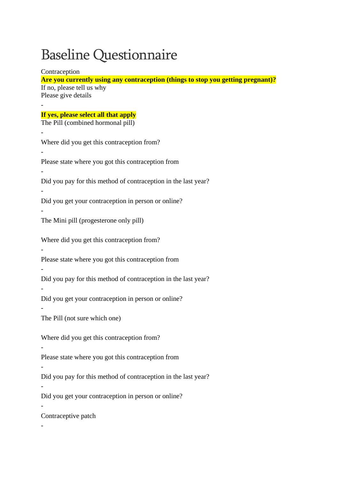## Baseline Questionnaire

Contraception

**Are you currently using any contraception (things to stop you getting pregnant)?** If no, please tell us why Please give details - **If yes, please select all that apply** The Pill (combined hormonal pill) - Where did you get this contraception from? - Please state where you got this contraception from - Did you pay for this method of contraception in the last year? - Did you get your contraception in person or online? - The Mini pill (progesterone only pill) Where did you get this contraception from? - Please state where you got this contraception from - Did you pay for this method of contraception in the last year? - Did you get your contraception in person or online? - The Pill (not sure which one) Where did you get this contraception from? - Please state where you got this contraception from - Did you pay for this method of contraception in the last year? - Did you get your contraception in person or online? - Contraceptive patch -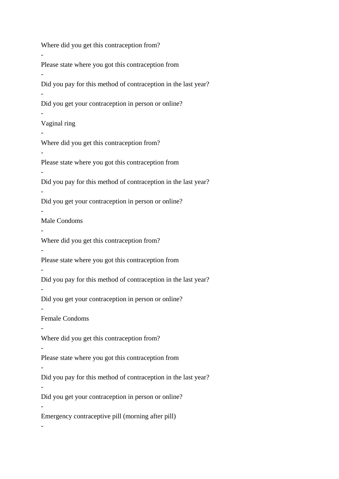Where did you get this contraception from? - Please state where you got this contraception from - Did you pay for this method of contraception in the last year? - Did you get your contraception in person or online? - Vaginal ring - Where did you get this contraception from? - Please state where you got this contraception from - Did you pay for this method of contraception in the last year? - Did you get your contraception in person or online? - Male Condoms - Where did you get this contraception from? - Please state where you got this contraception from - Did you pay for this method of contraception in the last year? - Did you get your contraception in person or online? - Female Condoms - Where did you get this contraception from? - Please state where you got this contraception from - Did you pay for this method of contraception in the last year? - Did you get your contraception in person or online? - Emergency contraceptive pill (morning after pill) -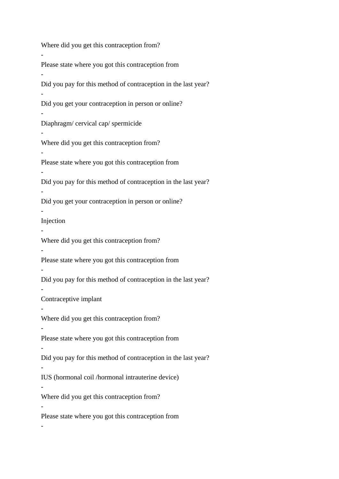Where did you get this contraception from? - Please state where you got this contraception from - Did you pay for this method of contraception in the last year? - Did you get your contraception in person or online? - Diaphragm/ cervical cap/ spermicide - Where did you get this contraception from? - Please state where you got this contraception from - Did you pay for this method of contraception in the last year? - Did you get your contraception in person or online? - Injection - Where did you get this contraception from? - Please state where you got this contraception from - Did you pay for this method of contraception in the last year? - Contraceptive implant - Where did you get this contraception from? - Please state where you got this contraception from - Did you pay for this method of contraception in the last year? - IUS (hormonal coil /hormonal intrauterine device) - Where did you get this contraception from? - Please state where you got this contraception from -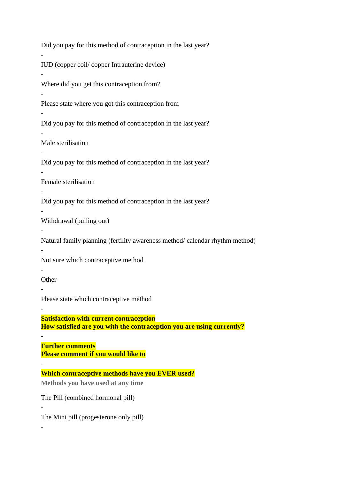Did you pay for this method of contraception in the last year? - IUD (copper coil/ copper Intrauterine device) - Where did you get this contraception from? - Please state where you got this contraception from - Did you pay for this method of contraception in the last year? - Male sterilisation - Did you pay for this method of contraception in the last year? - Female sterilisation - Did you pay for this method of contraception in the last year? - Withdrawal (pulling out) - Natural family planning (fertility awareness method/ calendar rhythm method) - Not sure which contraceptive method - **Other** - Please state which contraceptive method - **Satisfaction with current contraception How satisfied are you with the contraception you are using currently?** - **Further comments Please comment if you would like to** - **Which contraceptive methods have you EVER used? Methods you have used at any time** The Pill (combined hormonal pill) - The Mini pill (progesterone only pill) -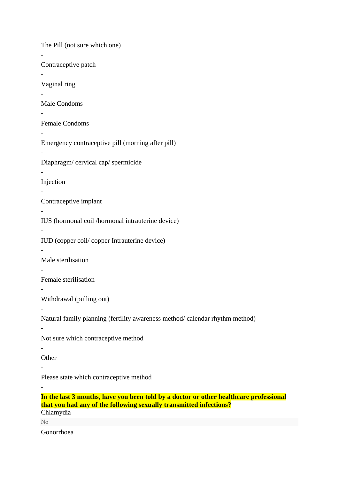The Pill (not sure which one) - Contraceptive patch - Vaginal ring - Male Condoms - Female Condoms - Emergency contraceptive pill (morning after pill) - Diaphragm/ cervical cap/ spermicide - Injection - Contraceptive implant - IUS (hormonal coil /hormonal intrauterine device) - IUD (copper coil/ copper Intrauterine device) - Male sterilisation - Female sterilisation - Withdrawal (pulling out) - Natural family planning (fertility awareness method/ calendar rhythm method) - Not sure which contraceptive method - **Other** - Please state which contraceptive method - **In the last 3 months, have you been told by a doctor or other healthcare professional that you had any of the following sexually transmitted infections?** Chlamydia

No

Gonorrhoea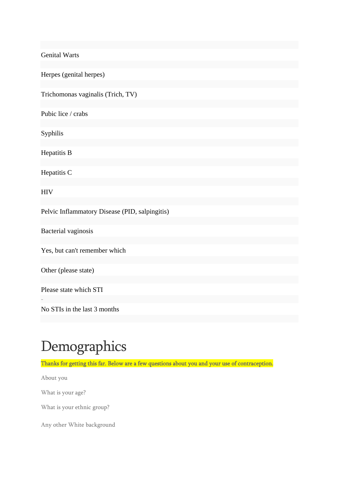Genital Warts

Herpes (genital herpes)

Trichomonas vaginalis (Trich, TV)

Pubic lice / crabs

Syphilis

Hepatitis B

Hepatitis C

**HIV** 

-

Pelvic Inflammatory Disease (PID, salpingitis)

Bacterial vaginosis

Yes, but can't remember which

Other (please state)

Please state which STI

No STIs in the last 3 months

## Demographics

Thanks for getting this far. Below are a few questions about you and your use of contraception.

About you

What is your age?

What is your ethnic group?

Any other White background